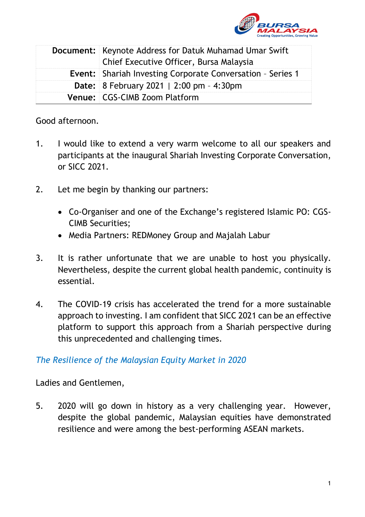

| <b>Document:</b> Keynote Address for Datuk Muhamad Umar Swift<br>Chief Executive Officer, Bursa Malaysia |
|----------------------------------------------------------------------------------------------------------|
| <b>Event:</b> Shariah Investing Corporate Conversation - Series 1                                        |
| <b>Date:</b> 8 February 2021   2:00 pm - 4:30pm                                                          |
| <b>Venue: CGS-CIMB Zoom Platform</b>                                                                     |

Good afternoon.

- 1. I would like to extend a very warm welcome to all our speakers and participants at the inaugural Shariah Investing Corporate Conversation, or SICC 2021.
- 2. Let me begin by thanking our partners:
	- Co-Organiser and one of the Exchange's registered Islamic PO: CGS-CIMB Securities;
	- Media Partners: REDMoney Group and Majalah Labur
- 3. It is rather unfortunate that we are unable to host you physically. Nevertheless, despite the current global health pandemic, continuity is essential.
- 4. The COVID-19 crisis has accelerated the trend for a more sustainable approach to investing. I am confident that SICC 2021 can be an effective platform to support this approach from a Shariah perspective during this unprecedented and challenging times.

## *The Resilience of the Malaysian Equity Market in 2020*

Ladies and Gentlemen,

5. 2020 will go down in history as a very challenging year. However, despite the global pandemic, Malaysian equities have demonstrated resilience and were among the best-performing ASEAN markets.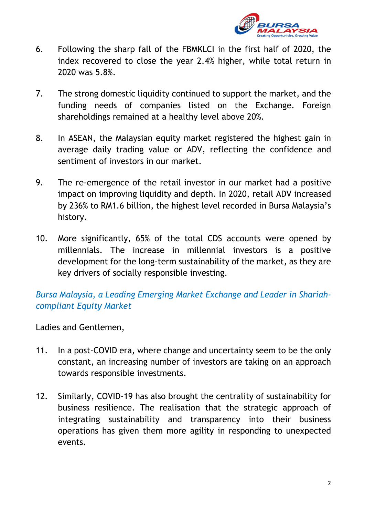

- 6. Following the sharp fall of the FBMKLCI in the first half of 2020, the index recovered to close the year 2.4% higher, while total return in 2020 was 5.8%.
- 7. The strong domestic liquidity continued to support the market, and the funding needs of companies listed on the Exchange. Foreign shareholdings remained at a healthy level above 20%.
- 8. In ASEAN, the Malaysian equity market registered the highest gain in average daily trading value or ADV, reflecting the confidence and sentiment of investors in our market.
- 9. The re-emergence of the retail investor in our market had a positive impact on improving liquidity and depth. In 2020, retail ADV increased by 236% to RM1.6 billion, the highest level recorded in Bursa Malaysia's history.
- 10. More significantly, 65% of the total CDS accounts were opened by millennials. The increase in millennial investors is a positive development for the long-term sustainability of the market, as they are key drivers of socially responsible investing.

## *Bursa Malaysia, a Leading Emerging Market Exchange and Leader in Shariahcompliant Equity Market*

## Ladies and Gentlemen,

- 11. In a post-COVID era, where change and uncertainty seem to be the only constant, an increasing number of investors are taking on an approach towards responsible investments.
- 12. Similarly, COVID-19 has also brought the centrality of sustainability for business resilience. The realisation that the strategic approach of integrating sustainability and transparency into their business operations has given them more agility in responding to unexpected events.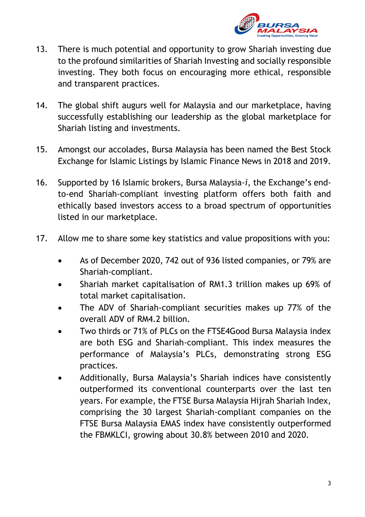

- 13. There is much potential and opportunity to grow Shariah investing due to the profound similarities of Shariah Investing and socially responsible investing. They both focus on encouraging more ethical, responsible and transparent practices.
- 14. The global shift augurs well for Malaysia and our marketplace, having successfully establishing our leadership as the global marketplace for Shariah listing and investments.
- 15. Amongst our accolades, Bursa Malaysia has been named the Best Stock Exchange for Islamic Listings by Islamic Finance News in 2018 and 2019.
- 16. Supported by 16 Islamic brokers, Bursa Malaysia-*i*, the Exchange's endto-end Shariah-compliant investing platform offers both faith and ethically based investors access to a broad spectrum of opportunities listed in our marketplace.
- 17. Allow me to share some key statistics and value propositions with you:
	- As of December 2020, 742 out of 936 listed companies, or 79% are Shariah-compliant.
	- Shariah market capitalisation of RM1.3 trillion makes up 69% of total market capitalisation.
	- The ADV of Shariah-compliant securities makes up 77% of the overall ADV of RM4.2 billion.
	- Two thirds or 71% of PLCs on the FTSE4Good Bursa Malaysia index are both ESG and Shariah-compliant. This index measures the performance of Malaysia's PLCs, demonstrating strong ESG practices.
	- Additionally, Bursa Malaysia's Shariah indices have consistently outperformed its conventional counterparts over the last ten years. For example, the FTSE Bursa Malaysia Hijrah Shariah Index, comprising the 30 largest Shariah-compliant companies on the FTSE Bursa Malaysia EMAS index have consistently outperformed the FBMKLCI, growing about 30.8% between 2010 and 2020.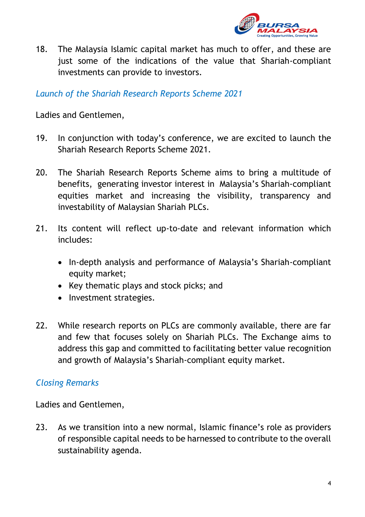

18. The Malaysia Islamic capital market has much to offer, and these are just some of the indications of the value that Shariah-compliant investments can provide to investors.

*Launch of the Shariah Research Reports Scheme 2021*

Ladies and Gentlemen,

- 19. In conjunction with today's conference, we are excited to launch the Shariah Research Reports Scheme 2021.
- 20. The Shariah Research Reports Scheme aims to bring a multitude of benefits, generating investor interest in Malaysia's Shariah-compliant equities market and increasing the visibility, transparency and investability of Malaysian Shariah PLCs.
- 21. Its content will reflect up-to-date and relevant information which includes:
	- In-depth analysis and performance of Malaysia's Shariah-compliant equity market;
	- Key thematic plays and stock picks; and
	- Investment strategies.
- 22. While research reports on PLCs are commonly available, there are far and few that focuses solely on Shariah PLCs. The Exchange aims to address this gap and committed to facilitating better value recognition and growth of Malaysia's Shariah-compliant equity market.

## *Closing Remarks*

Ladies and Gentlemen,

23. As we transition into a new normal, Islamic finance's role as providers of responsible capital needs to be harnessed to contribute to the overall sustainability agenda.